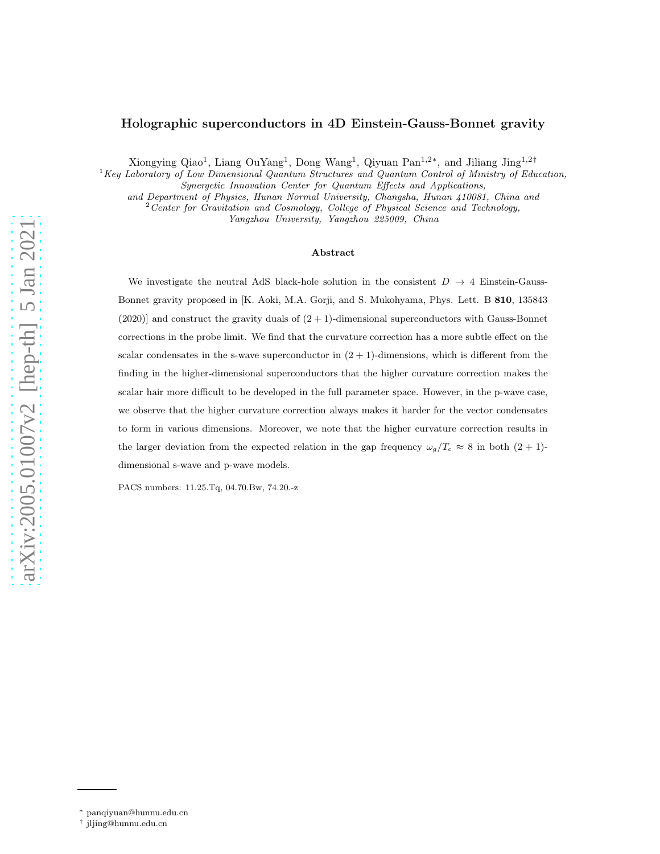# Holographic superconductors in 4D Einstein-Gauss-Bonnet gravity

Xiongying Qiao<sup>1</sup>, Liang OuYang<sup>1</sup>, Dong Wang<sup>1</sup>, Qiyuan Pan<sup>1,2\*</sup>, and Jiliang Jing<sup>1,2†</sup>

 ${}^{1}$ Key Laboratory of Low Dimensional Quantum Structures and Quantum Control of Ministry of Education, Synergetic Innovation Center for Quantum Effects and Applications,

and Department of Physics, Hunan Normal University, Changsha, Hunan 410081, China and

 $2$  Center for Gravitation and Cosmology, College of Physical Science and Technology,

Yangzhou University, Yangzhou 225009, China

#### Abstract

We investigate the neutral AdS black-hole solution in the consistent  $D \rightarrow 4$  Einstein-Gauss-Bonnet gravity proposed in [K. Aoki, M.A. Gorji, and S. Mukohyama, Phys. Lett. B 810, 135843  $(2020)$ ] and construct the gravity duals of  $(2 + 1)$ -dimensional superconductors with Gauss-Bonnet corrections in the probe limit. We find that the curvature correction has a more subtle effect on the scalar condensates in the s-wave superconductor in  $(2 + 1)$ -dimensions, which is different from the finding in the higher-dimensional superconductors that the higher curvature correction makes the scalar hair more difficult to be developed in the full parameter space. However, in the p-wave case, we observe that the higher curvature correction always makes it harder for the vector condensates to form in various dimensions. Moreover, we note that the higher curvature correction results in the larger deviation from the expected relation in the gap frequency  $\omega_g/T_c \approx 8$  in both  $(2 + 1)$ dimensional s-wave and p-wave models.

PACS numbers: 11.25.Tq, 04.70.Bw, 74.20.-z

<sup>∗</sup> panqiyuan@hunnu.edu.cn

<sup>†</sup> jljing@hunnu.edu.cn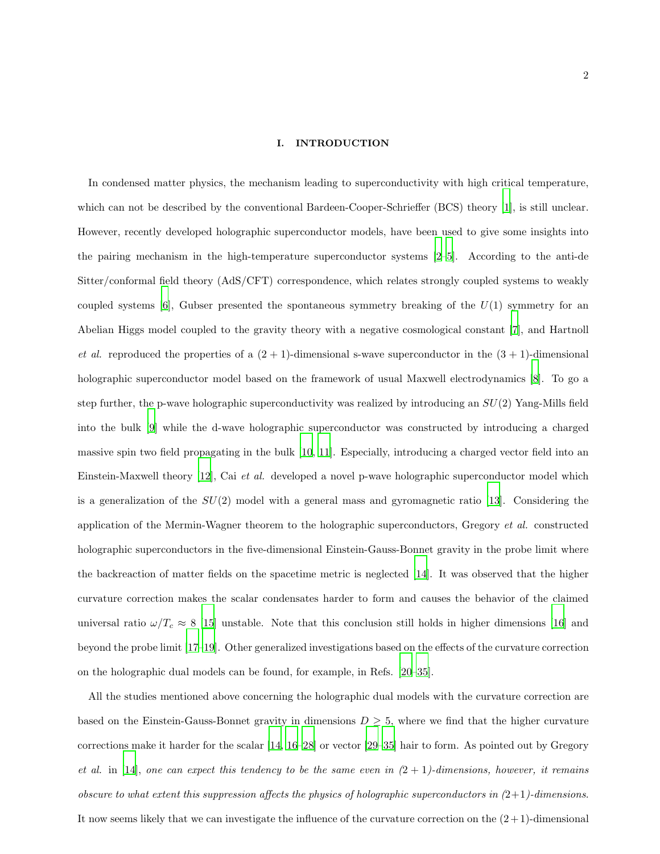#### I. INTRODUCTION

In condensed matter physics, the mechanism leading to superconductivity with high critical temperature, which can not be described by the conventional Bardeen-Cooper-Schrieffer (BCS) theory [\[1\]](#page-15-0), is still unclear. However, recently developed holographic superconductor models, have been used to give some insights into the pairing mechanism in the high-temperature superconductor systems [\[2](#page-15-1)[–5\]](#page-15-2). According to the anti-de Sitter/conformal field theory (AdS/CFT) correspondence, which relates strongly coupled systems to weakly coupled systems  $[6]$ , Gubser presented the spontaneous symmetry breaking of the  $U(1)$  symmetry for an Abelian Higgs model coupled to the gravity theory with a negative cosmological constant [\[7](#page-15-4)], and Hartnoll et al. reproduced the properties of a  $(2 + 1)$ -dimensional s-wave superconductor in the  $(3 + 1)$ -dimensional holographic superconductor model based on the framework of usual Maxwell electrodynamics [\[8\]](#page-15-5). To go a step further, the p-wave holographic superconductivity was realized by introducing an  $SU(2)$  Yang-Mills field into the bulk [\[9\]](#page-15-6) while the d-wave holographic superconductor was constructed by introducing a charged massive spin two field propagating in the bulk [\[10,](#page-15-7) [11\]](#page-15-8). Especially, introducing a charged vector field into an Einstein-Maxwell theory [\[12](#page-15-9)], Cai et al. developed a novel p-wave holographic superconductor model which is a generalization of the  $SU(2)$  model with a general mass and gyromagnetic ratio [\[13\]](#page-15-10). Considering the application of the Mermin-Wagner theorem to the holographic superconductors, Gregory et al. constructed holographic superconductors in the five-dimensional Einstein-Gauss-Bonnet gravity in the probe limit where the backreaction of matter fields on the spacetime metric is neglected [\[14\]](#page-15-11). It was observed that the higher curvature correction makes the scalar condensates harder to form and causes the behavior of the claimed universal ratio  $\omega/T_c \approx 8$  [\[15\]](#page-15-12) unstable. Note that this conclusion still holds in higher dimensions [\[16](#page-15-13)] and beyond the probe limit [\[17](#page-15-14)[–19](#page-16-0)]. Other generalized investigations based on the effects of the curvature correction on the holographic dual models can be found, for example, in Refs. [\[20](#page-16-1)[–35](#page-16-2)].

All the studies mentioned above concerning the holographic dual models with the curvature correction are based on the Einstein-Gauss-Bonnet gravity in dimensions  $D \geq 5$ , where we find that the higher curvature corrections make it harder for the scalar [\[14,](#page-15-11) [16](#page-15-13)[–28](#page-16-3)] or vector [\[29](#page-16-4)[–35\]](#page-16-2) hair to form. As pointed out by Gregory et al. in [\[14\]](#page-15-11), one can expect this tendency to be the same even in  $(2 + 1)$ -dimensions, however, it remains obscure to what extent this suppression affects the physics of holographic superconductors in  $(2+1)$ -dimensions. It now seems likely that we can investigate the influence of the curvature correction on the  $(2+1)$ -dimensional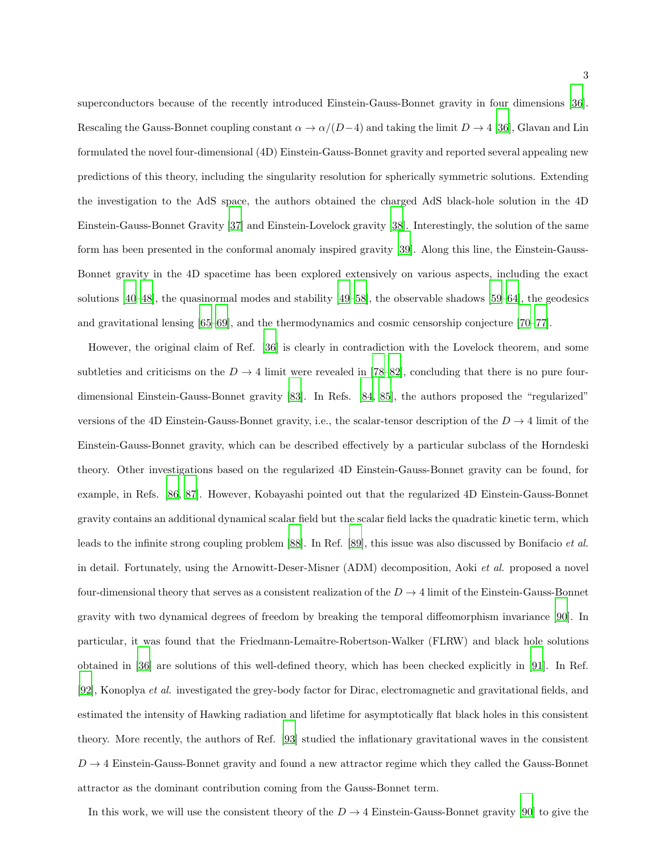superconductors because of the recently introduced Einstein-Gauss-Bonnet gravity in four dimensions [\[36\]](#page-16-5). Rescaling the Gauss-Bonnet coupling constant  $\alpha \to \alpha/(D-4)$  and taking the limit  $D \to 4$  [\[36\]](#page-16-5), Glavan and Lin formulated the novel four-dimensional (4D) Einstein-Gauss-Bonnet gravity and reported several appealing new predictions of this theory, including the singularity resolution for spherically symmetric solutions. Extending the investigation to the AdS space, the authors obtained the charged AdS black-hole solution in the 4D Einstein-Gauss-Bonnet Gravity [\[37\]](#page-16-6) and Einstein-Lovelock gravity [\[38\]](#page-16-7). Interestingly, the solution of the same form has been presented in the conformal anomaly inspired gravity [\[39\]](#page-16-8). Along this line, the Einstein-Gauss-Bonnet gravity in the 4D spacetime has been explored extensively on various aspects, including the exact solutions [\[40](#page-16-9)[–48](#page-16-10)], the quasinormal modes and stability [\[49](#page-16-11)[–58\]](#page-16-12), the observable shadows [\[59](#page-16-13)[–64\]](#page-16-14), the geodesics and gravitational lensing [\[65](#page-16-15)[–69\]](#page-16-16), and the thermodynamics and cosmic censorship conjecture [\[70](#page-16-17)[–77](#page-16-18)].

However, the original claim of Ref. [\[36\]](#page-16-5) is clearly in contradiction with the Lovelock theorem, and some subtleties and criticisms on the  $D \to 4$  limit were revealed in [\[78](#page-17-0)[–82\]](#page-17-1), concluding that there is no pure fourdimensional Einstein-Gauss-Bonnet gravity [\[83\]](#page-17-2). In Refs. [\[84,](#page-17-3) [85\]](#page-17-4), the authors proposed the "regularized" versions of the 4D Einstein-Gauss-Bonnet gravity, i.e., the scalar-tensor description of the  $D \rightarrow 4$  limit of the Einstein-Gauss-Bonnet gravity, which can be described effectively by a particular subclass of the Horndeski theory. Other investigations based on the regularized 4D Einstein-Gauss-Bonnet gravity can be found, for example, in Refs. [\[86,](#page-17-5) [87](#page-17-6)]. However, Kobayashi pointed out that the regularized 4D Einstein-Gauss-Bonnet gravity contains an additional dynamical scalar field but the scalar field lacks the quadratic kinetic term, which leads to the infinite strong coupling problem [\[88\]](#page-17-7). In Ref. [\[89\]](#page-17-8), this issue was also discussed by Bonifacio et al. in detail. Fortunately, using the Arnowitt-Deser-Misner (ADM) decomposition, Aoki et al. proposed a novel four-dimensional theory that serves as a consistent realization of the  $D \to 4$  limit of the Einstein-Gauss-Bonnet gravity with two dynamical degrees of freedom by breaking the temporal diffeomorphism invariance [\[90\]](#page-17-9). In particular, it was found that the Friedmann-Lemaître-Robertson-Walker (FLRW) and black hole solutions obtained in [\[36\]](#page-16-5) are solutions of this well-defined theory, which has been checked explicitly in [\[91\]](#page-17-10). In Ref. [\[92\]](#page-17-11), Konoplya et al. investigated the grey-body factor for Dirac, electromagnetic and gravitational fields, and estimated the intensity of Hawking radiation and lifetime for asymptotically flat black holes in this consistent theory. More recently, the authors of Ref. [\[93\]](#page-17-12) studied the inflationary gravitational waves in the consistent  $D \rightarrow 4$  Einstein-Gauss-Bonnet gravity and found a new attractor regime which they called the Gauss-Bonnet attractor as the dominant contribution coming from the Gauss-Bonnet term.

In this work, we will use the consistent theory of the  $D \to 4$  Einstein-Gauss-Bonnet gravity [\[90](#page-17-9)] to give the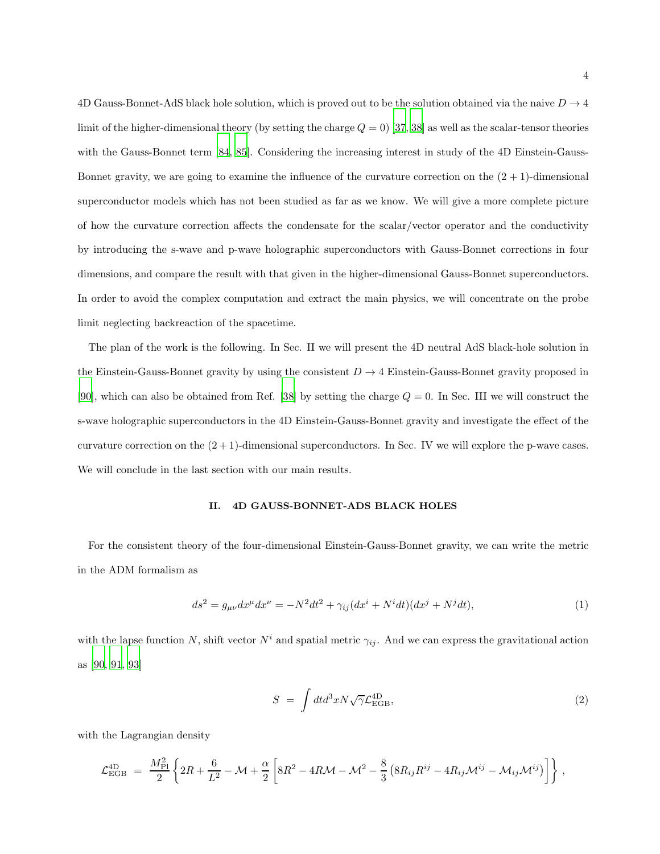4D Gauss-Bonnet-AdS black hole solution, which is proved out to be the solution obtained via the naive  $D \rightarrow 4$ limit of the higher-dimensional theory (by setting the charge  $Q = 0$ ) [\[37,](#page-16-6) [38\]](#page-16-7) as well as the scalar-tensor theories with the Gauss-Bonnet term [\[84,](#page-17-3) [85](#page-17-4)]. Considering the increasing interest in study of the 4D Einstein-Gauss-Bonnet gravity, we are going to examine the influence of the curvature correction on the  $(2 + 1)$ -dimensional superconductor models which has not been studied as far as we know. We will give a more complete picture of how the curvature correction affects the condensate for the scalar/vector operator and the conductivity by introducing the s-wave and p-wave holographic superconductors with Gauss-Bonnet corrections in four dimensions, and compare the result with that given in the higher-dimensional Gauss-Bonnet superconductors. In order to avoid the complex computation and extract the main physics, we will concentrate on the probe limit neglecting backreaction of the spacetime.

The plan of the work is the following. In Sec. II we will present the 4D neutral AdS black-hole solution in the Einstein-Gauss-Bonnet gravity by using the consistent  $D \to 4$  Einstein-Gauss-Bonnet gravity proposed in [\[90\]](#page-17-9), which can also be obtained from Ref. [\[38\]](#page-16-7) by setting the charge  $Q = 0$ . In Sec. III we will construct the s-wave holographic superconductors in the 4D Einstein-Gauss-Bonnet gravity and investigate the effect of the curvature correction on the  $(2 + 1)$ -dimensional superconductors. In Sec. IV we will explore the p-wave cases. We will conclude in the last section with our main results.

#### II. 4D GAUSS-BONNET-ADS BLACK HOLES

For the consistent theory of the four-dimensional Einstein-Gauss-Bonnet gravity, we can write the metric in the ADM formalism as

$$
ds^{2} = g_{\mu\nu}dx^{\mu}dx^{\nu} = -N^{2}dt^{2} + \gamma_{ij}(dx^{i} + N^{i}dt)(dx^{j} + N^{j}dt),
$$
\n(1)

with the lapse function N, shift vector  $N^i$  and spatial metric  $\gamma_{ij}$ . And we can express the gravitational action as [\[90,](#page-17-9) [91](#page-17-10), [93](#page-17-12)]

$$
S = \int dt d^3x N \sqrt{\gamma} \mathcal{L}_{\text{EGB}}^{4\text{D}}, \tag{2}
$$

with the Lagrangian density

$$
\mathcal{L}_{\rm EGB}^{\rm 4D} = \frac{M_{\rm Pl}^2}{2} \left\{ 2R + \frac{6}{L^2} - \mathcal{M} + \frac{\alpha}{2} \left[ 8R^2 - 4R\mathcal{M} - \mathcal{M}^2 - \frac{8}{3} \left( 8R_{ij}R^{ij} - 4R_{ij}\mathcal{M}^{ij} - \mathcal{M}_{ij}\mathcal{M}^{ij} \right) \right] \right\} \,,
$$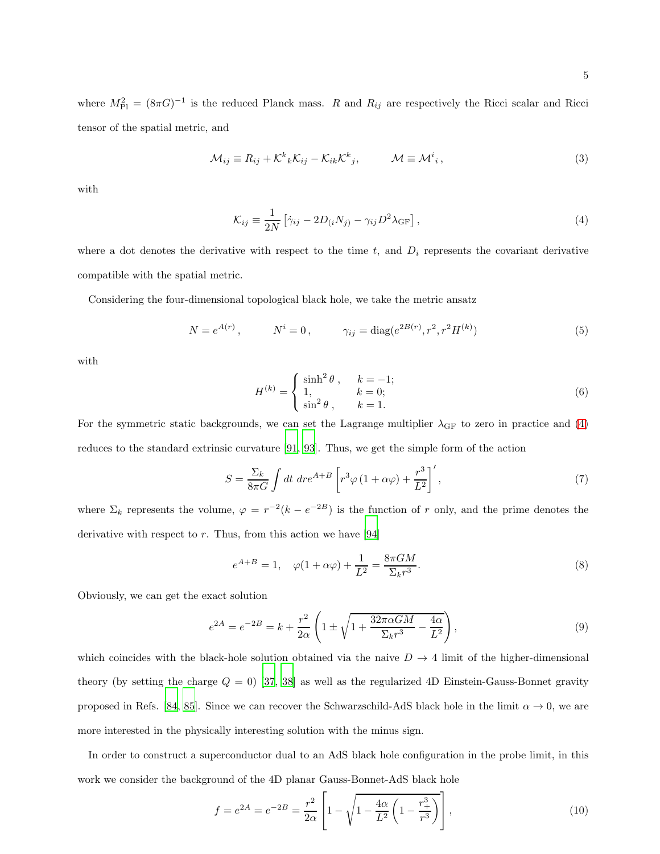where  $M_{\rm Pl}^2 = (8\pi G)^{-1}$  is the reduced Planck mass. R and  $R_{ij}$  are respectively the Ricci scalar and Ricci tensor of the spatial metric, and

$$
\mathcal{M}_{ij} \equiv R_{ij} + \mathcal{K}^k{}_k \mathcal{K}_{ij} - \mathcal{K}_{ik} \mathcal{K}^k{}_j, \qquad \mathcal{M} \equiv \mathcal{M}^i{}_i, \qquad (3)
$$

with

<span id="page-4-0"></span>
$$
\mathcal{K}_{ij} \equiv \frac{1}{2N} \left[ \dot{\gamma}_{ij} - 2D_{(i}N_{j)} - \gamma_{ij}D^{2}\lambda_{\text{GF}} \right],\tag{4}
$$

where a dot denotes the derivative with respect to the time  $t$ , and  $D_i$  represents the covariant derivative compatible with the spatial metric.

Considering the four-dimensional topological black hole, we take the metric ansatz

$$
N = e^{A(r)}, \qquad N^{i} = 0, \qquad \gamma_{ij} = \text{diag}(e^{2B(r)}, r^{2}, r^{2}H^{(k)})
$$
(5)

with

$$
H^{(k)} = \begin{cases} \sinh^2 \theta, & k = -1; \\ 1, & k = 0; \\ \sin^2 \theta, & k = 1. \end{cases}
$$
 (6)

For the symmetric static backgrounds, we can set the Lagrange multiplier  $\lambda_{\rm GF}$  to zero in practice and [\(4\)](#page-4-0) reduces to the standard extrinsic curvature [\[91,](#page-17-10) [93](#page-17-12)]. Thus, we get the simple form of the action

$$
S = \frac{\Sigma_k}{8\pi G} \int dt \, dr e^{A+B} \left[ r^3 \varphi \left( 1 + \alpha \varphi \right) + \frac{r^3}{L^2} \right]', \tag{7}
$$

where  $\Sigma_k$  represents the volume,  $\varphi = r^{-2}(k - e^{-2B})$  is the function of r only, and the prime denotes the derivative with respect to  $r$ . Thus, from this action we have [\[94\]](#page-17-13)

$$
e^{A+B} = 1, \quad \varphi(1+\alpha\varphi) + \frac{1}{L^2} = \frac{8\pi GM}{\Sigma_k r^3}.
$$
\n
$$
(8)
$$

Obviously, we can get the exact solution

$$
e^{2A} = e^{-2B} = k + \frac{r^2}{2\alpha} \left( 1 \pm \sqrt{1 + \frac{32\pi\alpha GM}{\Sigma_k r^3} - \frac{4\alpha}{L^2}} \right),\tag{9}
$$

which coincides with the black-hole solution obtained via the naive  $D \to 4$  limit of the higher-dimensional theory (by setting the charge  $Q = 0$ ) [\[37](#page-16-6), [38\]](#page-16-7) as well as the regularized 4D Einstein-Gauss-Bonnet gravity proposed in Refs. [\[84,](#page-17-3) [85\]](#page-17-4). Since we can recover the Schwarzschild-AdS black hole in the limit  $\alpha \to 0$ , we are more interested in the physically interesting solution with the minus sign.

In order to construct a superconductor dual to an AdS black hole configuration in the probe limit, in this work we consider the background of the 4D planar Gauss-Bonnet-AdS black hole

$$
f = e^{2A} = e^{-2B} = \frac{r^2}{2\alpha} \left[ 1 - \sqrt{1 - \frac{4\alpha}{L^2} \left( 1 - \frac{r_+^3}{r^3} \right)} \right],
$$
\n(10)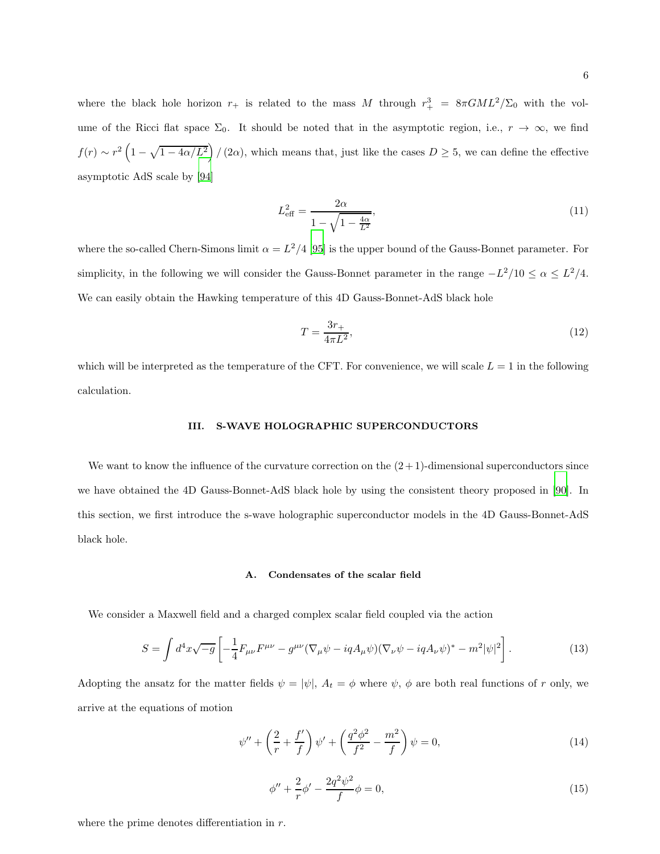where the black hole horizon  $r_+$  is related to the mass M through  $r_+^3 = 8\pi GML^2/\Sigma_0$  with the volume of the Ricci flat space  $\Sigma_0$ . It should be noted that in the asymptotic region, i.e.,  $r \to \infty$ , we find  $f(r) \sim r^2 \left(1 - \sqrt{1 - 4\alpha/L^2}\right) / (2\alpha)$ , which means that, just like the cases  $D \ge 5$ , we can define the effective asymptotic AdS scale by [\[94\]](#page-17-13)

$$
L_{\text{eff}}^2 = \frac{2\alpha}{1 - \sqrt{1 - \frac{4\alpha}{L^2}}},\tag{11}
$$

where the so-called Chern-Simons limit  $\alpha = L^2/4$  [\[95\]](#page-17-14) is the upper bound of the Gauss-Bonnet parameter. For simplicity, in the following we will consider the Gauss-Bonnet parameter in the range  $-L^2/10 \leq \alpha \leq L^2/4$ . We can easily obtain the Hawking temperature of this 4D Gauss-Bonnet-AdS black hole

$$
T = \frac{3r_+}{4\pi L^2},\tag{12}
$$

which will be interpreted as the temperature of the CFT. For convenience, we will scale  $L = 1$  in the following calculation.

### III. S-WAVE HOLOGRAPHIC SUPERCONDUCTORS

We want to know the influence of the curvature correction on the  $(2+1)$ -dimensional superconductors since we have obtained the 4D Gauss-Bonnet-AdS black hole by using the consistent theory proposed in [\[90\]](#page-17-9). In this section, we first introduce the s-wave holographic superconductor models in the 4D Gauss-Bonnet-AdS black hole.

## A. Condensates of the scalar field

We consider a Maxwell field and a charged complex scalar field coupled via the action

$$
S = \int d^4x \sqrt{-g} \left[ -\frac{1}{4} F_{\mu\nu} F^{\mu\nu} - g^{\mu\nu} (\nabla_{\mu}\psi - iqA_{\mu}\psi)(\nabla_{\nu}\psi - iqA_{\nu}\psi)^* - m^2 |\psi|^2 \right]. \tag{13}
$$

Adopting the ansatz for the matter fields  $\psi = |\psi|$ ,  $A_t = \phi$  where  $\psi$ ,  $\phi$  are both real functions of r only, we arrive at the equations of motion

<span id="page-5-0"></span>
$$
\psi'' + \left(\frac{2}{r} + \frac{f'}{f}\right)\psi' + \left(\frac{q^2\phi^2}{f^2} - \frac{m^2}{f}\right)\psi = 0,
$$
\n(14)

<span id="page-5-1"></span>
$$
\phi'' + \frac{2}{r}\phi' - \frac{2q^2\psi^2}{f}\phi = 0,\tag{15}
$$

where the prime denotes differentiation in  $r$ .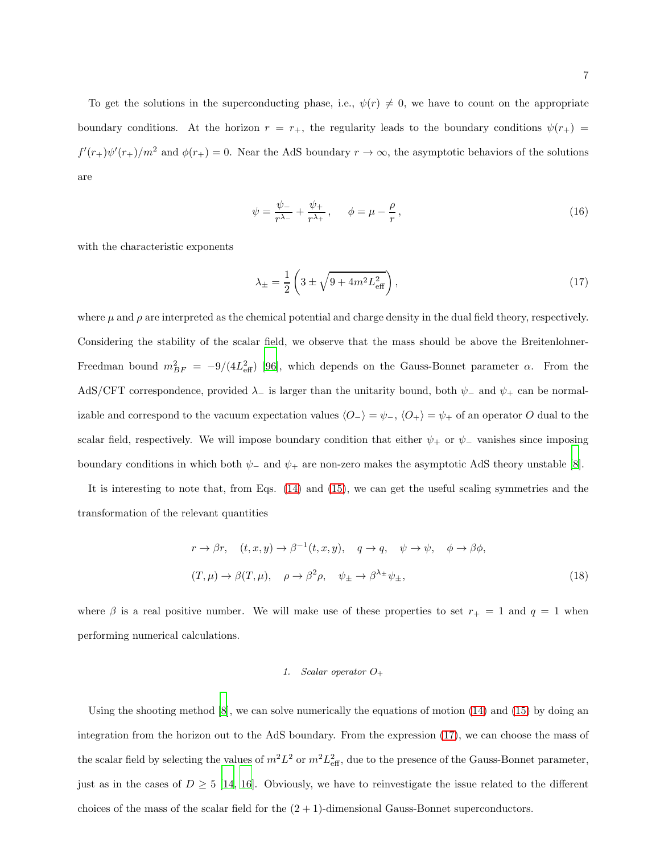To get the solutions in the superconducting phase, i.e.,  $\psi(r) \neq 0$ , we have to count on the appropriate boundary conditions. At the horizon  $r = r_{+}$ , the regularity leads to the boundary conditions  $\psi(r_{+})$  $f'(r_+) \psi'(r_+)/m^2$  and  $\phi(r_+) = 0$ . Near the AdS boundary  $r \to \infty$ , the asymptotic behaviors of the solutions are

$$
\psi = \frac{\psi_{-}}{r^{\lambda_{-}}} + \frac{\psi_{+}}{r^{\lambda_{+}}}, \qquad \phi = \mu - \frac{\rho}{r}, \qquad (16)
$$

with the characteristic exponents

<span id="page-6-0"></span>
$$
\lambda_{\pm} = \frac{1}{2} \left( 3 \pm \sqrt{9 + 4m^2 L_{\text{eff}}^2} \right),\tag{17}
$$

where  $\mu$  and  $\rho$  are interpreted as the chemical potential and charge density in the dual field theory, respectively. Considering the stability of the scalar field, we observe that the mass should be above the Breitenlohner-Freedman bound  $m_{BF}^2 = -9/(4L_{\text{eff}}^2)$  [\[96](#page-17-15)], which depends on the Gauss-Bonnet parameter  $\alpha$ . From the AdS/CFT correspondence, provided  $\lambda_-\$  is larger than the unitarity bound, both  $\psi_-\$  and  $\psi_+\$ can be normalizable and correspond to the vacuum expectation values  $\langle O_-\rangle = \psi_-, \langle O_+\rangle = \psi_+$  of an operator O dual to the scalar field, respectively. We will impose boundary condition that either  $\psi_+$  or  $\psi_-$  vanishes since imposing boundary conditions in which both  $\psi_-\$  and  $\psi_+$  are non-zero makes the asymptotic AdS theory unstable [\[8\]](#page-15-5).

It is interesting to note that, from Eqs. [\(14\)](#page-5-0) and [\(15\)](#page-5-1), we can get the useful scaling symmetries and the transformation of the relevant quantities

$$
r \to \beta r, \quad (t, x, y) \to \beta^{-1}(t, x, y), \quad q \to q, \quad \psi \to \psi, \quad \phi \to \beta \phi,
$$
  

$$
(T, \mu) \to \beta(T, \mu), \quad \rho \to \beta^2 \rho, \quad \psi_{\pm} \to \beta^{\lambda_{\pm}} \psi_{\pm},
$$
 (18)

where  $\beta$  is a real positive number. We will make use of these properties to set  $r_{+} = 1$  and  $q = 1$  when performing numerical calculations.

## 1. Scalar operator  $O_+$

Using the shooting method  $[8]$ , we can solve numerically the equations of motion  $(14)$  and  $(15)$  by doing an integration from the horizon out to the AdS boundary. From the expression [\(17\)](#page-6-0), we can choose the mass of the scalar field by selecting the values of  $m^2L^2$  or  $m^2L_{\text{eff}}^2$ , due to the presence of the Gauss-Bonnet parameter, just as in the cases of  $D \geq 5$  [\[14](#page-15-11), [16\]](#page-15-13). Obviously, we have to reinvestigate the issue related to the different choices of the mass of the scalar field for the  $(2 + 1)$ -dimensional Gauss-Bonnet superconductors.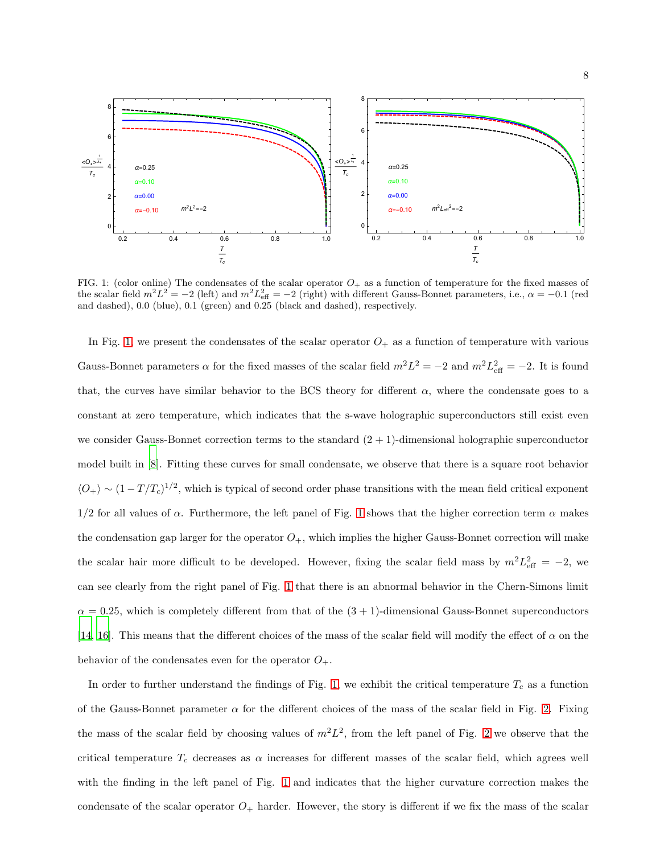

<span id="page-7-0"></span>FIG. 1: (color online) The condensates of the scalar operator  $O<sub>+</sub>$  as a function of temperature for the fixed masses of the scalar field  $m^2L^2 = -2$  (left) and  $m^2L_{\text{eff}}^2 = -2$  (right) with different Gauss-Bonnet parameters, i.e.,  $\alpha = -0.1$  (red and dashed), 0.0 (blue), 0.1 (green) and 0.25 (black and dashed), respectively.

In Fig. [1,](#page-7-0) we present the condensates of the scalar operator  $O_+$  as a function of temperature with various Gauss-Bonnet parameters  $\alpha$  for the fixed masses of the scalar field  $m^2 L^2 = -2$  and  $m^2 L_{\text{eff}}^2 = -2$ . It is found that, the curves have similar behavior to the BCS theory for different  $\alpha$ , where the condensate goes to a constant at zero temperature, which indicates that the s-wave holographic superconductors still exist even we consider Gauss-Bonnet correction terms to the standard  $(2 + 1)$ -dimensional holographic superconductor model built in [\[8\]](#page-15-5). Fitting these curves for small condensate, we observe that there is a square root behavior  $\langle O_+\rangle \sim (1 - T/T_c)^{1/2}$ , which is typical of second order phase transitions with the mean field critical exponent  $1/2$  for all values of  $\alpha$ . Furthermore, the left panel of Fig. [1](#page-7-0) shows that the higher correction term  $\alpha$  makes the condensation gap larger for the operator  $O_+$ , which implies the higher Gauss-Bonnet correction will make the scalar hair more difficult to be developed. However, fixing the scalar field mass by  $m^2 L_{\text{eff}}^2 = -2$ , we can see clearly from the right panel of Fig. [1](#page-7-0) that there is an abnormal behavior in the Chern-Simons limit  $\alpha = 0.25$ , which is completely different from that of the  $(3 + 1)$ -dimensional Gauss-Bonnet superconductors [\[14,](#page-15-11) [16\]](#page-15-13). This means that the different choices of the mass of the scalar field will modify the effect of  $\alpha$  on the behavior of the condensates even for the operator  $O_+$ .

In order to further understand the findings of Fig. [1,](#page-7-0) we exhibit the critical temperature  $T_c$  as a function of the Gauss-Bonnet parameter  $\alpha$  for the different choices of the mass of the scalar field in Fig. [2.](#page-8-0) Fixing the mass of the scalar field by choosing values of  $m^2L^2$ , from the left panel of Fig. [2](#page-8-0) we observe that the critical temperature  $T_c$  decreases as  $\alpha$  increases for different masses of the scalar field, which agrees well with the finding in the left panel of Fig. [1](#page-7-0) and indicates that the higher curvature correction makes the condensate of the scalar operator  $O_+$  harder. However, the story is different if we fix the mass of the scalar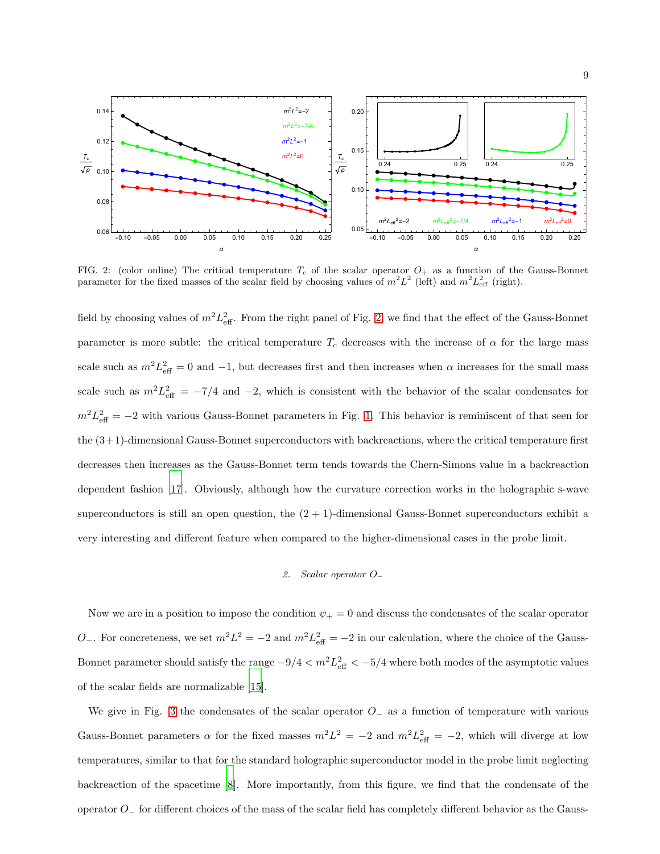

<span id="page-8-0"></span>FIG. 2: (color online) The critical temperature  $T_c$  of the scalar operator  $O_+$  as a function of the Gauss-Bonnet parameter for the fixed masses of the scalar field by choosing values of  $m^2L^2$  (left) and  $m^2L_{\text{eff}}^2$  (right).

field by choosing values of  $m^2 L_{\text{eff}}^2$ . From the right panel of Fig. [2,](#page-8-0) we find that the effect of the Gauss-Bonnet parameter is more subtle: the critical temperature  $T_c$  decreases with the increase of  $\alpha$  for the large mass scale such as  $m^2 L_{\text{eff}}^2 = 0$  and  $-1$ , but decreases first and then increases when  $\alpha$  increases for the small mass scale such as  $m^2 L_{\text{eff}}^2 = -7/4$  and  $-2$ , which is consistent with the behavior of the scalar condensates for  $m^2 L_{\text{eff}}^2 = -2$  with various Gauss-Bonnet parameters in Fig. [1.](#page-7-0) This behavior is reminiscent of that seen for the (3+1)-dimensional Gauss-Bonnet superconductors with backreactions, where the critical temperature first decreases then increases as the Gauss-Bonnet term tends towards the Chern-Simons value in a backreaction dependent fashion [\[17](#page-15-14)]. Obviously, although how the curvature correction works in the holographic s-wave superconductors is still an open question, the  $(2 + 1)$ -dimensional Gauss-Bonnet superconductors exhibit a very interesting and different feature when compared to the higher-dimensional cases in the probe limit.

### 2. Scalar operator O<sup>−</sup>

Now we are in a position to impose the condition  $\psi_+ = 0$  and discuss the condensates of the scalar operator O<sup>-</sup>. For concreteness, we set  $m^2L^2 = -2$  and  $m^2L_{\text{eff}}^2 = -2$  in our calculation, where the choice of the Gauss-Bonnet parameter should satisfy the range  $-9/4 < m^2 L_{\text{eff}}^2 < -5/4$  where both modes of the asymptotic values of the scalar fields are normalizable [\[15\]](#page-15-12).

We give in Fig. [3](#page-9-0) the condensates of the scalar operator  $O_-\,$  as a function of temperature with various Gauss-Bonnet parameters  $\alpha$  for the fixed masses  $m^2 L^2 = -2$  and  $m^2 L_{\text{eff}}^2 = -2$ , which will diverge at low temperatures, similar to that for the standard holographic superconductor model in the probe limit neglecting backreaction of the spacetime [\[8](#page-15-5)]. More importantly, from this figure, we find that the condensate of the operator O<sup>−</sup> for different choices of the mass of the scalar field has completely different behavior as the Gauss-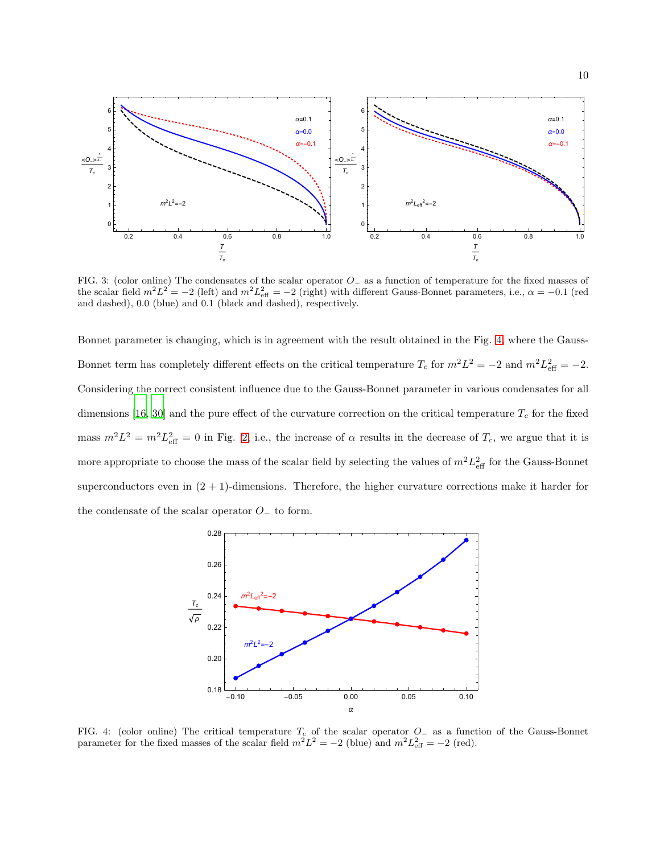

<span id="page-9-0"></span>FIG. 3: (color online) The condensates of the scalar operator O<sup>−</sup> as a function of temperature for the fixed masses of the scalar field  $m^2L^2 = -2$  (left) and  $m^2L_{\text{eff}}^2 = -2$  (right) with different Gauss-Bonnet parameters, i.e.,  $\alpha = -0.1$  (red and dashed), 0.0 (blue) and 0.1 (black and dashed), respectively.

Bonnet parameter is changing, which is in agreement with the result obtained in the Fig. [4,](#page-9-1) where the Gauss-Bonnet term has completely different effects on the critical temperature  $T_c$  for  $m^2L^2 = -2$  and  $m^2L_{\text{eff}}^2 = -2$ . Considering the correct consistent influence due to the Gauss-Bonnet parameter in various condensates for all dimensions [\[16,](#page-15-13) [30](#page-16-19)] and the pure effect of the curvature correction on the critical temperature  $T_c$  for the fixed mass  $m^2L^2 = m^2L_{\text{eff}}^2 = 0$  in Fig. [2,](#page-8-0) i.e., the increase of  $\alpha$  results in the decrease of  $T_c$ , we argue that it is more appropriate to choose the mass of the scalar field by selecting the values of  $m^2 L_{\text{eff}}^2$  for the Gauss-Bonnet superconductors even in  $(2 + 1)$ -dimensions. Therefore, the higher curvature corrections make it harder for the condensate of the scalar operator O<sup>−</sup> to form.



<span id="page-9-1"></span>FIG. 4: (color online) The critical temperature  $T_c$  of the scalar operator  $O_{-}$  as a function of the Gauss-Bonnet parameter for the fixed masses of the scalar field  $m^2 L^2 = -2$  (blue) and  $m^2 L_{\text{eff}}^2 = -2$  (red).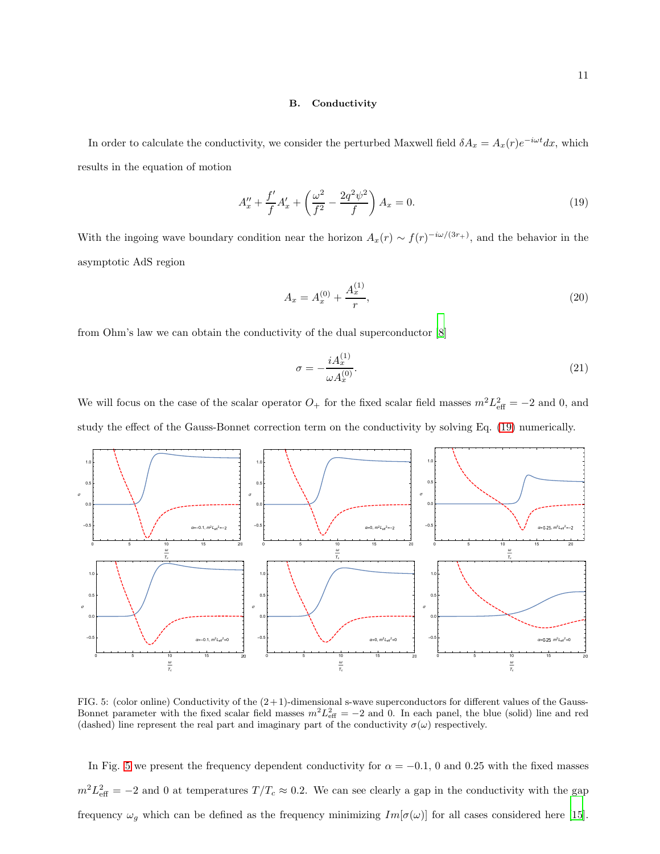### B. Conductivity

In order to calculate the conductivity, we consider the perturbed Maxwell field  $\delta A_x = A_x(r)e^{-i\omega t}dx$ , which results in the equation of motion

<span id="page-10-0"></span>
$$
A''_x + \frac{f'}{f}A'_x + \left(\frac{\omega^2}{f^2} - \frac{2q^2\psi^2}{f}\right)A_x = 0.
$$
 (19)

With the ingoing wave boundary condition near the horizon  $A_x(r) \sim f(r)^{-i\omega/(3r_+)}$ , and the behavior in the asymptotic AdS region

$$
A_x = A_x^{(0)} + \frac{A_x^{(1)}}{r},\tag{20}
$$

from Ohm's law we can obtain the conductivity of the dual superconductor [\[8](#page-15-5)]

$$
\sigma = -\frac{iA_x^{(1)}}{\omega A_x^{(0)}}.\tag{21}
$$

We will focus on the case of the scalar operator  $O_+$  for the fixed scalar field masses  $m^2 L_{\text{eff}}^2 = -2$  and 0, and study the effect of the Gauss-Bonnet correction term on the conductivity by solving Eq. [\(19\)](#page-10-0) numerically.



<span id="page-10-1"></span>FIG. 5: (color online) Conductivity of the  $(2+1)$ -dimensional s-wave superconductors for different values of the Gauss-Bonnet parameter with the fixed scalar field masses  $m^2 L_{\text{eff}}^2 = -2$  and 0. In each panel, the blue (solid) line and red (dashed) line represent the real part and imaginary part of the conductivity  $\sigma(\omega)$  respectively.

In Fig. [5](#page-10-1) we present the frequency dependent conductivity for  $\alpha = -0.1$ , 0 and 0.25 with the fixed masses  $m^2 L_{\text{eff}}^2 = -2$  and 0 at temperatures  $T/T_c \approx 0.2$ . We can see clearly a gap in the conductivity with the gap frequency  $\omega_g$  which can be defined as the frequency minimizing  $Im[\sigma(\omega)]$  for all cases considered here [\[15\]](#page-15-12).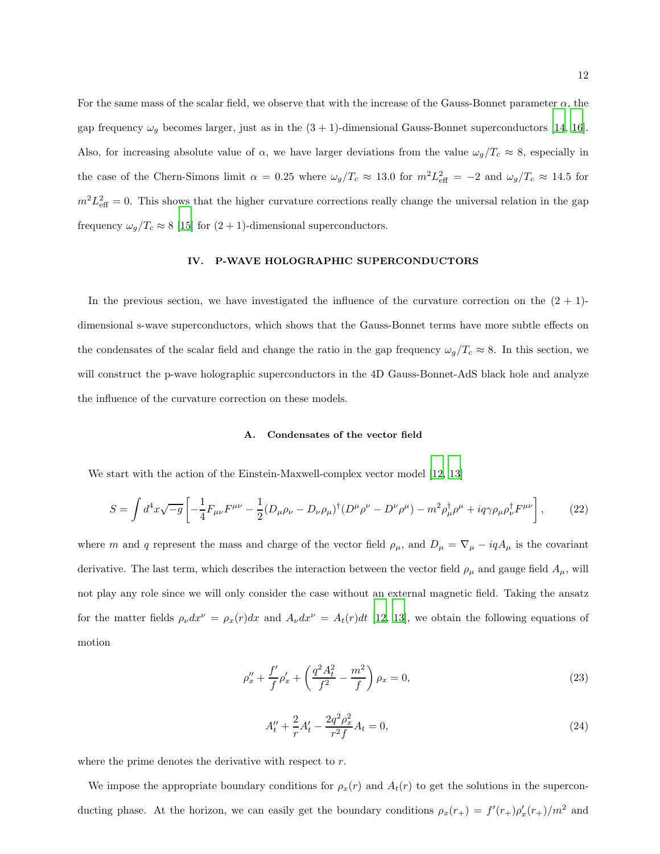For the same mass of the scalar field, we observe that with the increase of the Gauss-Bonnet parameter  $\alpha$ , the gap frequency  $\omega_g$  becomes larger, just as in the  $(3 + 1)$ -dimensional Gauss-Bonnet superconductors [\[14,](#page-15-11) [16\]](#page-15-13). Also, for increasing absolute value of  $\alpha$ , we have larger deviations from the value  $\omega_g/T_c \approx 8$ , especially in the case of the Chern-Simons limit  $\alpha = 0.25$  where  $\omega_g/T_c \approx 13.0$  for  $m^2 L_{\text{eff}}^2 = -2$  and  $\omega_g/T_c \approx 14.5$  for  $m^2 L_{\text{eff}}^2 = 0$ . This shows that the higher curvature corrections really change the universal relation in the gap frequency  $\omega_g/T_c \approx 8$  [\[15](#page-15-12)] for  $(2 + 1)$ -dimensional superconductors.

#### IV. P-WAVE HOLOGRAPHIC SUPERCONDUCTORS

In the previous section, we have investigated the influence of the curvature correction on the  $(2 + 1)$ dimensional s-wave superconductors, which shows that the Gauss-Bonnet terms have more subtle effects on the condensates of the scalar field and change the ratio in the gap frequency  $\omega_g/T_c \approx 8$ . In this section, we will construct the p-wave holographic superconductors in the 4D Gauss-Bonnet-AdS black hole and analyze the influence of the curvature correction on these models.

## A. Condensates of the vector field

We start with the action of the Einstein-Maxwell-complex vector model [\[12](#page-15-9), [13](#page-15-10)]

$$
S = \int d^4x \sqrt{-g} \left[ -\frac{1}{4} F_{\mu\nu} F^{\mu\nu} - \frac{1}{2} (D_\mu \rho_\nu - D_\nu \rho_\mu)^\dagger (D^\mu \rho^\nu - D^\nu \rho^\mu) - m^2 \rho_\mu^\dagger \rho^\mu + i q \gamma \rho_\mu \rho_\nu^\dagger F^{\mu\nu} \right],\tag{22}
$$

where m and q represent the mass and charge of the vector field  $\rho_{\mu}$ , and  $D_{\mu} = \nabla_{\mu} - iqA_{\mu}$  is the covariant derivative. The last term, which describes the interaction between the vector field  $\rho_{\mu}$  and gauge field  $A_{\mu}$ , will not play any role since we will only consider the case without an external magnetic field. Taking the ansatz for the matter fields  $\rho_{\nu}dx^{\nu} = \rho_x(r)dx$  and  $A_{\nu}dx^{\nu} = A_t(r)dt$  [\[12](#page-15-9), [13](#page-15-10)], we obtain the following equations of motion

<span id="page-11-0"></span>
$$
\rho''_x + \frac{f'}{f} \rho'_x + \left(\frac{q^2 A_t^2}{f^2} - \frac{m^2}{f}\right) \rho_x = 0,
$$
\n(23)

<span id="page-11-1"></span>
$$
A''_t + \frac{2}{r}A'_t - \frac{2q^2\rho_x^2}{r^2f}A_t = 0,
$$
\n(24)

where the prime denotes the derivative with respect to r.

We impose the appropriate boundary conditions for  $\rho_x(r)$  and  $A_t(r)$  to get the solutions in the superconducting phase. At the horizon, we can easily get the boundary conditions  $\rho_x(r_+) = f'(r_+) \rho'_x(r_+)/m^2$  and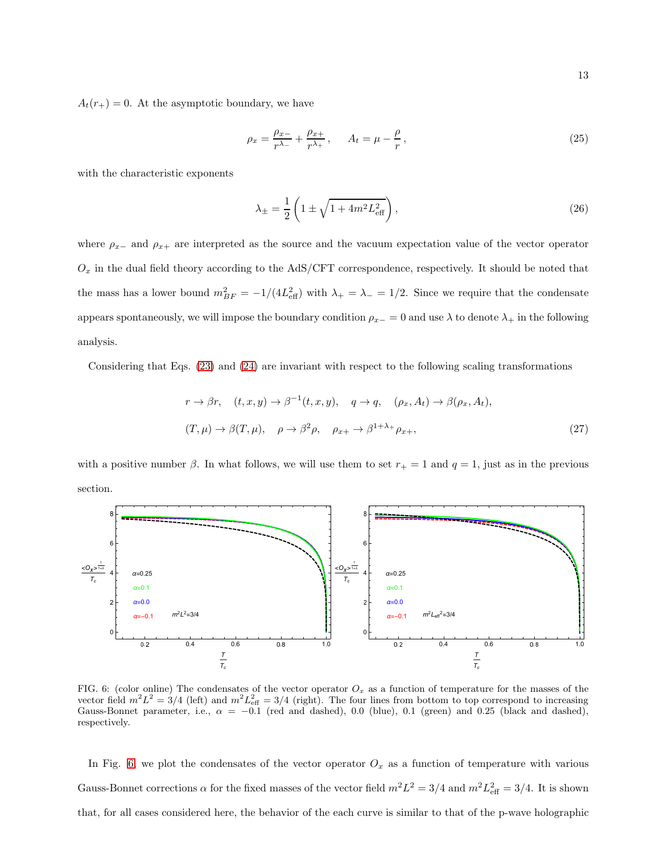$A_t(r_+) = 0$ . At the asymptotic boundary, we have

$$
\rho_x = \frac{\rho_{x-}}{r^{\lambda_-}} + \frac{\rho_{x+}}{r^{\lambda_+}}, \qquad A_t = \mu - \frac{\rho}{r}, \qquad (25)
$$

with the characteristic exponents

$$
\lambda_{\pm} = \frac{1}{2} \left( 1 \pm \sqrt{1 + 4m^2 L_{\text{eff}}^2} \right),\tag{26}
$$

where  $\rho_{x-}$  and  $\rho_{x+}$  are interpreted as the source and the vacuum expectation value of the vector operator  $O_x$  in the dual field theory according to the AdS/CFT correspondence, respectively. It should be noted that the mass has a lower bound  $m_{BF}^2 = -1/(4L_{\text{eff}}^2)$  with  $\lambda_+ = \lambda_- = 1/2$ . Since we require that the condensate appears spontaneously, we will impose the boundary condition  $\rho_{x-} = 0$  and use  $\lambda$  to denote  $\lambda_+$  in the following analysis.

Considering that Eqs. [\(23\)](#page-11-0) and [\(24\)](#page-11-1) are invariant with respect to the following scaling transformations

$$
r \to \beta r, \quad (t, x, y) \to \beta^{-1}(t, x, y), \quad q \to q, \quad (\rho_x, A_t) \to \beta(\rho_x, A_t),
$$
  

$$
(T, \mu) \to \beta(T, \mu), \quad \rho \to \beta^2 \rho, \quad \rho_{x+} \to \beta^{1+\lambda_+} \rho_{x+},
$$
 (27)

with a positive number  $\beta$ . In what follows, we will use them to set  $r_+ = 1$  and  $q = 1$ , just as in the previous section.



<span id="page-12-0"></span>FIG. 6: (color online) The condensates of the vector operator  $O_x$  as a function of temperature for the masses of the vector field  $m^2L^2 = 3/4$  (left) and  $m^2L_{\text{eff}}^2 = 3/4$  (right). The four lines from bottom to top correspond to increasing Gauss-Bonnet parameter, i.e.,  $\alpha = -0.1$  (red and dashed), 0.0 (blue), 0.1 (green) and 0.25 (black and dashed), respectively.

In Fig. [6,](#page-12-0) we plot the condensates of the vector operator  $O_x$  as a function of temperature with various Gauss-Bonnet corrections  $\alpha$  for the fixed masses of the vector field  $m^2L^2 = 3/4$  and  $m^2L_{\text{eff}}^2 = 3/4$ . It is shown that, for all cases considered here, the behavior of the each curve is similar to that of the p-wave holographic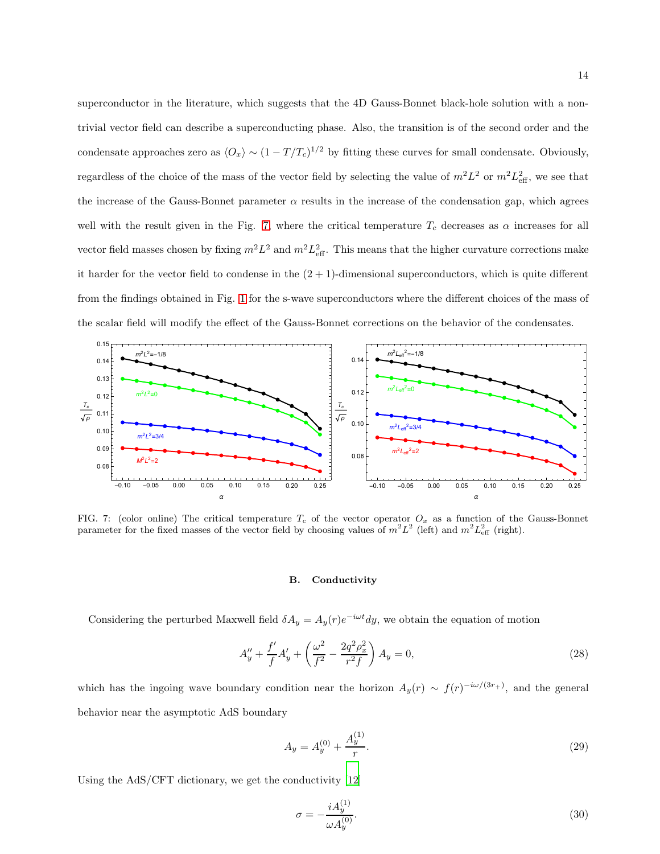superconductor in the literature, which suggests that the 4D Gauss-Bonnet black-hole solution with a nontrivial vector field can describe a superconducting phase. Also, the transition is of the second order and the condensate approaches zero as  $\langle O_x \rangle \sim (1 - T/T_c)^{1/2}$  by fitting these curves for small condensate. Obviously, regardless of the choice of the mass of the vector field by selecting the value of  $m^2L^2$  or  $m^2L_{\text{eff}}^2$ , we see that the increase of the Gauss-Bonnet parameter  $\alpha$  results in the increase of the condensation gap, which agrees well with the result given in the Fig. [7,](#page-13-0) where the critical temperature  $T_c$  decreases as  $\alpha$  increases for all vector field masses chosen by fixing  $m^2 L^2$  and  $m^2 L_{\text{eff}}^2$ . This means that the higher curvature corrections make it harder for the vector field to condense in the  $(2 + 1)$ -dimensional superconductors, which is quite different from the findings obtained in Fig. [1](#page-7-0) for the s-wave superconductors where the different choices of the mass of the scalar field will modify the effect of the Gauss-Bonnet corrections on the behavior of the condensates.



<span id="page-13-0"></span>FIG. 7: (color online) The critical temperature  $T_c$  of the vector operator  $O_x$  as a function of the Gauss-Bonnet parameter for the fixed masses of the vector field by choosing values of  $m^2L^2$  (left) and  $m^2L_{\text{eff}}^2$  (right).

#### B. Conductivity

Considering the perturbed Maxwell field  $\delta A_y = A_y(r)e^{-i\omega t}dy$ , we obtain the equation of motion

$$
A_y'' + \frac{f'}{f}A_y' + \left(\frac{\omega^2}{f^2} - \frac{2q^2\rho_x^2}{r^2f}\right)A_y = 0,
$$
\n(28)

which has the ingoing wave boundary condition near the horizon  $A_y(r) \sim f(r)^{-i\omega/(3r_+)}$ , and the general behavior near the asymptotic AdS boundary

$$
A_y = A_y^{(0)} + \frac{A_y^{(1)}}{r}.\tag{29}
$$

Using the AdS/CFT dictionary, we get the conductivity [\[12\]](#page-15-9)

$$
\sigma = -\frac{iA_y^{(1)}}{\omega A_y^{(0)}}.\tag{30}
$$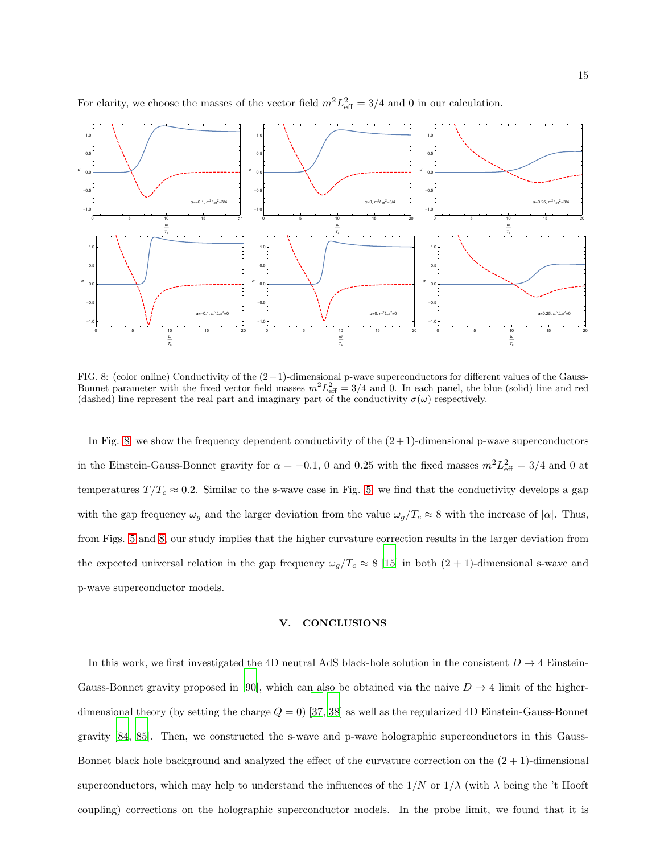

For clarity, we choose the masses of the vector field  $m^2 L_{\text{eff}}^2 = 3/4$  and 0 in our calculation.

<span id="page-14-0"></span>FIG. 8: (color online) Conductivity of the  $(2+1)$ -dimensional p-wave superconductors for different values of the Gauss-Bonnet parameter with the fixed vector field masses  $m^2 L_{\text{eff}}^2 = 3/4$  and 0. In each panel, the blue (solid) line and red (dashed) line represent the real part and imaginary part of the conductivity  $\sigma(\omega)$  respectively.

In Fig. [8,](#page-14-0) we show the frequency dependent conductivity of the  $(2+1)$ -dimensional p-wave superconductors in the Einstein-Gauss-Bonnet gravity for  $\alpha = -0.1$ , 0 and 0.25 with the fixed masses  $m^2 L_{\text{eff}}^2 = 3/4$  and 0 at temperatures  $T/T_c \approx 0.2$ . Similar to the s-wave case in Fig. [5,](#page-10-1) we find that the conductivity develops a gap with the gap frequency  $\omega_g$  and the larger deviation from the value  $\omega_g/T_c \approx 8$  with the increase of  $|\alpha|$ . Thus, from Figs. [5](#page-10-1) and [8,](#page-14-0) our study implies that the higher curvature correction results in the larger deviation from the expected universal relation in the gap frequency  $\omega_g/T_c \approx 8$  [\[15\]](#page-15-12) in both  $(2 + 1)$ -dimensional s-wave and p-wave superconductor models.

#### V. CONCLUSIONS

In this work, we first investigated the 4D neutral AdS black-hole solution in the consistent  $D \to 4$  Einstein-Gauss-Bonnet gravity proposed in [\[90\]](#page-17-9), which can also be obtained via the naive  $D \to 4$  limit of the higherdimensional theory (by setting the charge  $Q = 0$ ) [\[37,](#page-16-6) [38](#page-16-7)] as well as the regularized 4D Einstein-Gauss-Bonnet gravity [\[84,](#page-17-3) [85\]](#page-17-4). Then, we constructed the s-wave and p-wave holographic superconductors in this Gauss-Bonnet black hole background and analyzed the effect of the curvature correction on the  $(2 + 1)$ -dimensional superconductors, which may help to understand the influences of the  $1/N$  or  $1/\lambda$  (with  $\lambda$  being the 't Hooft coupling) corrections on the holographic superconductor models. In the probe limit, we found that it is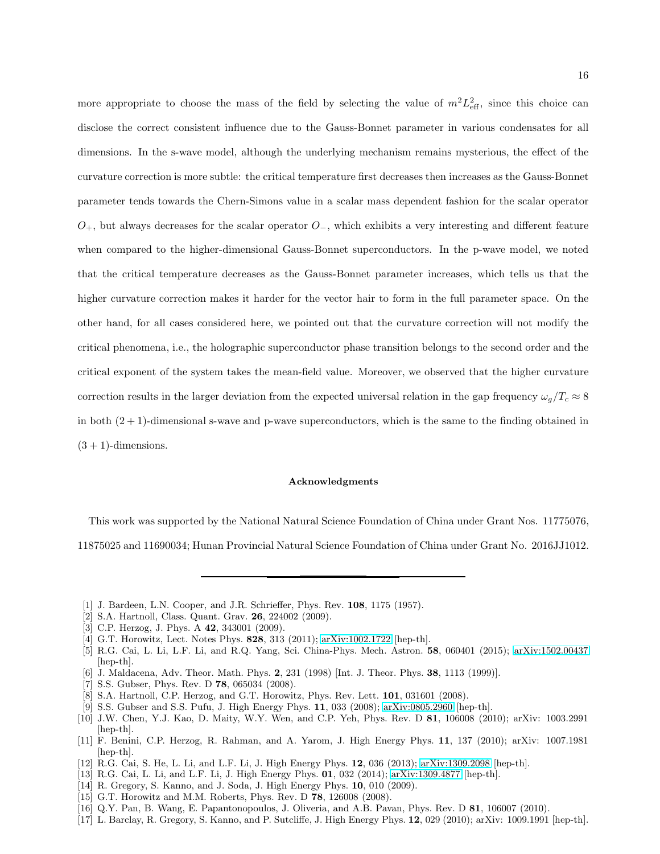more appropriate to choose the mass of the field by selecting the value of  $m^2 L_{\text{eff}}^2$ , since this choice can disclose the correct consistent influence due to the Gauss-Bonnet parameter in various condensates for all dimensions. In the s-wave model, although the underlying mechanism remains mysterious, the effect of the curvature correction is more subtle: the critical temperature first decreases then increases as the Gauss-Bonnet parameter tends towards the Chern-Simons value in a scalar mass dependent fashion for the scalar operator  $O_+$ , but always decreases for the scalar operator  $O_-$ , which exhibits a very interesting and different feature when compared to the higher-dimensional Gauss-Bonnet superconductors. In the p-wave model, we noted that the critical temperature decreases as the Gauss-Bonnet parameter increases, which tells us that the higher curvature correction makes it harder for the vector hair to form in the full parameter space. On the other hand, for all cases considered here, we pointed out that the curvature correction will not modify the critical phenomena, i.e., the holographic superconductor phase transition belongs to the second order and the critical exponent of the system takes the mean-field value. Moreover, we observed that the higher curvature correction results in the larger deviation from the expected universal relation in the gap frequency  $\omega_g/T_c \approx 8$ in both  $(2 + 1)$ -dimensional s-wave and p-wave superconductors, which is the same to the finding obtained in  $(3 + 1)$ -dimensions.

#### Acknowledgments

This work was supported by the National Natural Science Foundation of China under Grant Nos. 11775076, 11875025 and 11690034; Hunan Provincial Natural Science Foundation of China under Grant No. 2016JJ1012.

- <span id="page-15-0"></span>[1] J. Bardeen, L.N. Cooper, and J.R. Schrieffer, Phys. Rev. 108, 1175 (1957).
- <span id="page-15-1"></span>[2] S.A. Hartnoll, Class. Quant. Grav. 26, 224002 (2009).
- [3] C.P. Herzog, J. Phys. A **42**, 343001 (2009).
- [4] G.T. Horowitz, Lect. Notes Phys. 828, 313 (2011); [arXiv:1002.1722](http://arxiv.org/abs/1002.1722) [hep-th].
- <span id="page-15-2"></span>[5] R.G. Cai, L. Li, L.F. Li, and R.Q. Yang, Sci. China-Phys. Mech. Astron. 58, 060401 (2015); [arXiv:1502.00437](http://arxiv.org/abs/1502.00437) [hep-th].
- <span id="page-15-3"></span>[6] J. Maldacena, Adv. Theor. Math. Phys. 2, 231 (1998) [Int. J. Theor. Phys. 38, 1113 (1999)].
- <span id="page-15-4"></span>[7] S.S. Gubser, Phys. Rev. D 78, 065034 (2008).
- <span id="page-15-5"></span>[8] S.A. Hartnoll, C.P. Herzog, and G.T. Horowitz, Phys. Rev. Lett. 101, 031601 (2008).
- <span id="page-15-6"></span>[9] S.S. Gubser and S.S. Pufu, J. High Energy Phys. 11, 033 (2008); [arXiv:0805.2960](http://arxiv.org/abs/0805.2960) [hep-th].
- <span id="page-15-7"></span>[10] J.W. Chen, Y.J. Kao, D. Maity, W.Y. Wen, and C.P. Yeh, Phys. Rev. D 81, 106008 (2010); arXiv: 1003.2991 [hep-th].
- <span id="page-15-8"></span>[11] F. Benini, C.P. Herzog, R. Rahman, and A. Yarom, J. High Energy Phys. 11, 137 (2010); arXiv: 1007.1981 [hep-th].
- <span id="page-15-9"></span>[12] R.G. Cai, S. He, L. Li, and L.F. Li, J. High Energy Phys. 12, 036 (2013); [arXiv:1309.2098](http://arxiv.org/abs/1309.2098) [hep-th].
- <span id="page-15-10"></span>[13] R.G. Cai, L. Li, and L.F. Li, J. High Energy Phys. 01, 032 (2014); [arXiv:1309.4877](http://arxiv.org/abs/1309.4877) [hep-th].
- <span id="page-15-11"></span>[14] R. Gregory, S. Kanno, and J. Soda, J. High Energy Phys. **10**, 010 (2009).
- <span id="page-15-12"></span>[15] G.T. Horowitz and M.M. Roberts, Phys. Rev. D 78, 126008 (2008).
- <span id="page-15-13"></span>[16] Q.Y. Pan, B. Wang, E. Papantonopoulos, J. Oliveria, and A.B. Pavan, Phys. Rev. D 81, 106007 (2010).
- <span id="page-15-14"></span>[17] L. Barclay, R. Gregory, S. Kanno, and P. Sutcliffe, J. High Energy Phys. 12, 029 (2010); arXiv: 1009.1991 [hep-th].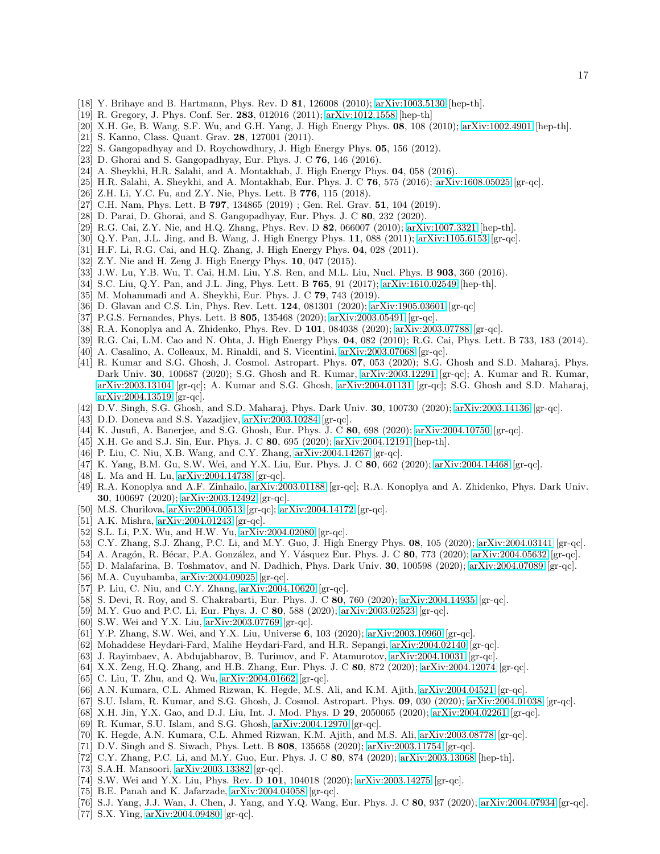- [18] Y. Brihaye and B. Hartmann, Phys. Rev. D 81, 126008 (2010); [arXiv:1003.5130](http://arxiv.org/abs/1003.5130) [hep-th].
- <span id="page-16-0"></span>[19] R. Gregory, J. Phys. Conf. Ser. 283, 012016 (2011); [arXiv:1012.1558](http://arxiv.org/abs/1012.1558) [hep-th]
- <span id="page-16-1"></span>[20] X.H. Ge, B. Wang, S.F. Wu, and G.H. Yang, J. High Energy Phys. 08, 108 (2010); [arXiv:1002.4901](http://arxiv.org/abs/1002.4901) [hep-th].
- [21] S. Kanno, Class. Quant. Grav. 28, 127001 (2011).
- [22] S. Gangopadhyay and D. Roychowdhury, J. High Energy Phys. 05, 156 (2012).
- [23] D. Ghorai and S. Gangopadhyay, Eur. Phys. J. C 76, 146 (2016).
- [24] A. Sheykhi, H.R. Salahi, and A. Montakhab, J. High Energy Phys. 04, 058 (2016).
- [25] H.R. Salahi, A. Sheykhi, and A. Montakhab, Eur. Phys. J. C  $76$ ,  $575$  (2016); [arXiv:1608.05025](http://arxiv.org/abs/1608.05025) [gr-qc].
- [26] Z.H. Li, Y.C. Fu, and Z.Y. Nie, Phys. Lett. B 776, 115 (2018).
- [27] C.H. Nam, Phys. Lett. B **797**, 134865 (2019) ; Gen. Rel. Grav. **51**, 104 (2019).
- <span id="page-16-3"></span>[28] D. Parai, D. Ghorai, and S. Gangopadhyay, Eur. Phys. J. C 80, 232 (2020).
- <span id="page-16-4"></span>[29] R.G. Cai, Z.Y. Nie, and H.Q. Zhang, Phys. Rev. D 82, 066007 (2010); [arXiv:1007.3321](http://arxiv.org/abs/1007.3321) [hep-th].
- <span id="page-16-19"></span>[30] Q.Y. Pan, J.L. Jing, and B. Wang, J. High Energy Phys. 11, 088 (2011); [arXiv:1105.6153](http://arxiv.org/abs/1105.6153) [gr-qc].
- [31] H.F. Li, R.G. Cai, and H.Q. Zhang, J. High Energy Phys. 04, 028 (2011).
- [32] Z.Y. Nie and H. Zeng J. High Energy Phys. 10, 047 (2015).
- [33] J.W. Lu, Y.B. Wu, T. Cai, H.M. Liu, Y.S. Ren, and M.L. Liu, Nucl. Phys. B 903, 360 (2016).
- [34] S.C. Liu, Q.Y. Pan, and J.L. Jing, Phys. Lett. B **765**, 91 (2017); [arXiv:1610.02549](http://arxiv.org/abs/1610.02549) [hep-th].
- <span id="page-16-2"></span>[35] M. Mohammadi and A. Sheykhi, Eur. Phys. J. C 79, 743 (2019).
- <span id="page-16-5"></span>[36] D. Glavan and C.S. Lin, Phys. Rev. Lett. 124, 081301 (2020); [arXiv:1905.03601](http://arxiv.org/abs/1905.03601) [gr-qc]
- <span id="page-16-6"></span>[37] P.G.S. Fernandes, Phys. Lett. B 805, 135468 (2020); [arXiv:2003.05491](http://arxiv.org/abs/2003.05491) [gr-qc].
- <span id="page-16-7"></span>[38] R.A. Konoplya and A. Zhidenko, Phys. Rev. D 101, 084038 (2020); [arXiv:2003.07788](http://arxiv.org/abs/2003.07788) [gr-qc].
- <span id="page-16-8"></span>[39] R.G. Cai, L.M. Cao and N. Ohta, J. High Energy Phys. 04, 082 (2010); R.G. Cai, Phys. Lett. B 733, 183 (2014).
- <span id="page-16-9"></span>[40] A. Casalino, A. Colleaux, M. Rinaldi, and S. Vicentini, [arXiv:2003.07068](http://arxiv.org/abs/2003.07068) [gr-qc].
- [41] R. Kumar and S.G. Ghosh, J. Cosmol. Astropart. Phys. 07, 053 (2020); S.G. Ghosh and S.D. Maharaj, Phys. Dark Univ. 30, 100687 (2020); S.G. Ghosh and R. Kumar, [arXiv:2003.12291](http://arxiv.org/abs/2003.12291) [gr-qc]; A. Kumar and R. Kumar, [arXiv:2003.13104](http://arxiv.org/abs/2003.13104) [gr-qc]; A. Kumar and S.G. Ghosh, [arXiv:2004.01131](http://arxiv.org/abs/2004.01131) [gr-qc]; S.G. Ghosh and S.D. Maharaj, [arXiv:2004.13519](http://arxiv.org/abs/2004.13519) [gr-qc].
- [42] D.V. Singh, S.G. Ghosh, and S.D. Maharaj, Phys. Dark Univ. 30, 100730 (2020); [arXiv:2003.14136](http://arxiv.org/abs/2003.14136) [gr-qc].
- [43] D.D. Doneva and S.S. Yazadjiev, [arXiv:2003.10284](http://arxiv.org/abs/2003.10284) [gr-qc].
- [44] K. Jusufi, A. Banerjee, and S.G. Ghosh, Eur. Phys. J. C 80, 698 (2020); [arXiv:2004.10750](http://arxiv.org/abs/2004.10750) [gr-qc].
- [45] X.H. Ge and S.J. Sin, Eur. Phys. J. C 80, 695 (2020); [arXiv:2004.12191](http://arxiv.org/abs/2004.12191) [hep-th].
- [46] P. Liu, C. Niu, X.B. Wang, and C.Y. Zhang, [arXiv:2004.14267](http://arxiv.org/abs/2004.14267) [gr-qc].
- [47] K. Yang, B.M. Gu, S.W. Wei, and Y.X. Liu, Eur. Phys. J. C 80, 662 (2020); [arXiv:2004.14468](http://arxiv.org/abs/2004.14468) [gr-qc].
- <span id="page-16-10"></span>[48] L. Ma and H. Lu, [arXiv:2004.14738](http://arxiv.org/abs/2004.14738) [gr-qc].
- <span id="page-16-11"></span>[49] R.A. Konoplya and A.F. Zinhailo, [arXiv:2003.01188](http://arxiv.org/abs/2003.01188) [gr-qc]; R.A. Konoplya and A. Zhidenko, Phys. Dark Univ. 30, 100697 (2020); [arXiv:2003.12492](http://arxiv.org/abs/2003.12492) [gr-qc].
- [50] M.S. Churilova, [arXiv:2004.00513](http://arxiv.org/abs/2004.00513) [gr-qc]; [arXiv:2004.14172](http://arxiv.org/abs/2004.14172) [gr-qc].
- [51] A.K. Mishra, [arXiv:2004.01243](http://arxiv.org/abs/2004.01243) [gr-qc].
- [52] S.L. Li, P.X. Wu, and H.W. Yu, [arXiv:2004.02080](http://arxiv.org/abs/2004.02080) [gr-qc].
- [53] C.Y. Zhang, S.J. Zhang, P.C. Li, and M.Y. Guo, J. High Energy Phys. 08, 105 (2020); [arXiv:2004.03141](http://arxiv.org/abs/2004.03141) [gr-qc].
- [54] A. Aragón, R. Bécar, P.A. González, and Y. Vásquez Eur. Phys. J. C 80, 773 (2020); [arXiv:2004.05632](http://arxiv.org/abs/2004.05632) [gr-qc].
- [55] D. Malafarina, B. Toshmatov, and N. Dadhich, Phys. Dark Univ. 30, 100598 (2020); [arXiv:2004.07089](http://arxiv.org/abs/2004.07089) [gr-qc].
- [56] M.A. Cuyubamba, [arXiv:2004.09025](http://arxiv.org/abs/2004.09025) [gr-qc].
- [57] P. Liu, C. Niu, and C.Y. Zhang, [arXiv:2004.10620](http://arxiv.org/abs/2004.10620) [gr-qc].
- <span id="page-16-12"></span>[58] S. Devi, R. Roy, and S. Chakrabarti, Eur. Phys. J. C 80, 760 (2020); [arXiv:2004.14935](http://arxiv.org/abs/2004.14935) [gr-qc].
- <span id="page-16-13"></span>[59] M.Y. Guo and P.C. Li, Eur. Phys. J. C 80, 588 (2020); [arXiv:2003.02523](http://arxiv.org/abs/2003.02523) [gr-qc].
- [60] S.W. Wei and Y.X. Liu, [arXiv:2003.07769](http://arxiv.org/abs/2003.07769) [gr-qc].
- [61] Y.P. Zhang, S.W. Wei, and Y.X. Liu, Universe 6, 103 (2020); [arXiv:2003.10960](http://arxiv.org/abs/2003.10960) [gr-qc].
- [62] Mohaddese Heydari-Fard, Malihe Heydari-Fard, and H.R. Sepangi, [arXiv:2004.02140](http://arxiv.org/abs/2004.02140) [gr-qc].
- [63] J. Rayimbaev, A. Abdujabbarov, B. Turimov, and F. Atamurotov, [arXiv:2004.10031](http://arxiv.org/abs/2004.10031) [gr-qc].
- <span id="page-16-14"></span>[64] X.X. Zeng, H.Q. Zhang, and H.B. Zhang, Eur. Phys. J. C 80, 872 (2020); [arXiv:2004.12074](http://arxiv.org/abs/2004.12074) [gr-qc].
- <span id="page-16-15"></span>[65] C. Liu, T. Zhu, and Q. Wu, [arXiv:2004.01662](http://arxiv.org/abs/2004.01662) [gr-qc].
- [66] A.N. Kumara, C.L. Ahmed Rizwan, K. Hegde, M.S. Ali, and K.M. Ajith, [arXiv:2004.04521](http://arxiv.org/abs/2004.04521) [gr-qc].
- [67] S.U. Islam, R. Kumar, and S.G. Ghosh, J. Cosmol. Astropart. Phys. 09, 030 (2020); [arXiv:2004.01038](http://arxiv.org/abs/2004.01038) [gr-qc].
- [68] X.H. Jin, Y.X. Gao, and D.J. Liu, Int. J. Mod. Phys. D 29, 2050065 (2020); [arXiv:2004.02261](http://arxiv.org/abs/2004.02261) [gr-qc].
- <span id="page-16-16"></span>[69] R. Kumar, S.U. Islam, and S.G. Ghosh, [arXiv:2004.12970](http://arxiv.org/abs/2004.12970) [gr-qc].
- <span id="page-16-17"></span>[70] K. Hegde, A.N. Kumara, C.L. Ahmed Rizwan, K.M. Ajith, and M.S. Ali, [arXiv:2003.08778](http://arxiv.org/abs/2003.08778) [gr-qc].
- [71] D.V. Singh and S. Siwach, Phys. Lett. B 808, 135658 (2020); [arXiv:2003.11754](http://arxiv.org/abs/2003.11754) [gr-qc].
- [72] C.Y. Zhang, P.C. Li, and M.Y. Guo, Eur. Phys. J. C 80, 874 (2020); [arXiv:2003.13068](http://arxiv.org/abs/2003.13068) [hep-th].
- [73] S.A.H. Mansoori, [arXiv:2003.13382](http://arxiv.org/abs/2003.13382) [gr-qc].
- [74] S.W. Wei and Y.X. Liu, Phys. Rev. D 101, 104018 (2020); [arXiv:2003.14275](http://arxiv.org/abs/2003.14275) [gr-qc].
- [75] B.E. Panah and K. Jafarzade, [arXiv:2004.04058](http://arxiv.org/abs/2004.04058) [gr-qc].
- [76] S.J. Yang, J.J. Wan, J. Chen, J. Yang, and Y.Q. Wang, Eur. Phys. J. C 80, 937 (2020); [arXiv:2004.07934](http://arxiv.org/abs/2004.07934) [gr-qc].
- <span id="page-16-18"></span>[77] S.X. Ying, [arXiv:2004.09480](http://arxiv.org/abs/2004.09480) [gr-qc].